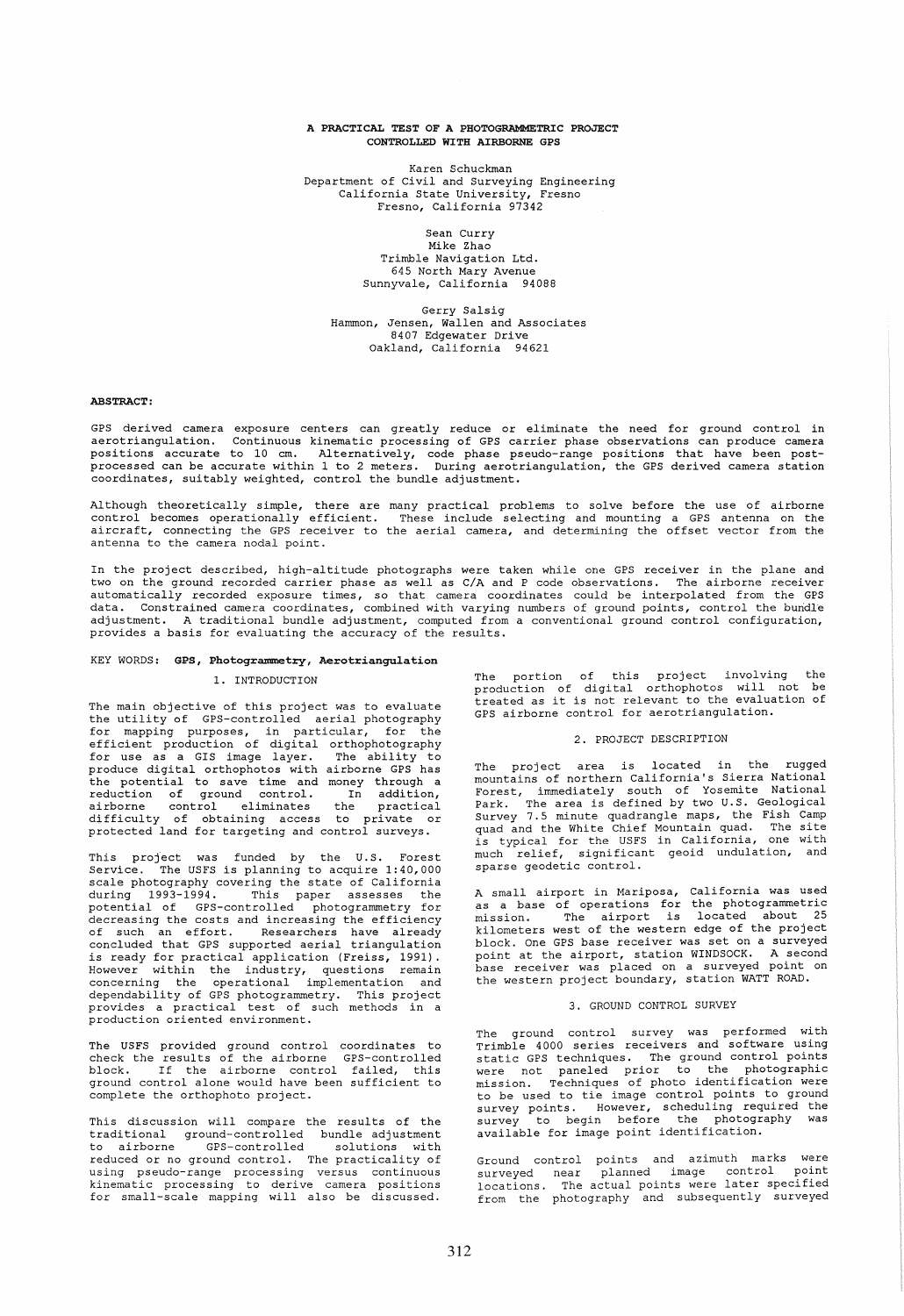## A PRACTICAL TEST OF A PHOTOGRAMMETRIC PROJECT CONTROLLED WITH AIRBORNE GPS

Karen Schuckman Department of Civil and Surveying Engineering California State University, Fresno Fresno, California 97342

> Sean Curry Mike Zhao

Trimble Navigation Ltd. 645 North Mary Avenue Sunnyvale, California 94088

Gerry Salsig Hammon, Jensen, Wallen and Associates 8407 Edgewater Drive Oakland, California 94621

## ABSTRACT:

GPS derived camera exposure centers can greatly reduce or eliminate the need for ground control in aerotriangulation. Continuous kinematic processing of GPS carrier phase observations can produce camera positions accurate to 10 cm. Alternatively, code phase pseudo-range positions that have been postprocessed can be accurate within 1 to 2 meters. During aerotriangulation, the GPS derived camera station coordinates, suitably weighted, control the bundle adjustment.

Although theoretically simple, there are many practical problems to solve before the use of airborne<br>control becomes operationally efficient. These include selecting and mounting a GPS antenna on the<br>aircraft, connecting t antenna to the camera nodal point.

In the project described, high-altitude photographs were taken while one GPS receiver in the plane and two on the ground recorded carrier phase as well as C/A and P code observations. The airborne receiver automatically recorded exposure times, so that camera coordinates could be interpolated from the GPS data. Constrained camera coordinates, combined with varying numbers of ground points, control the bundle<br>adjustment. A traditional bundle adjustment, computed from a conventional ground control configuration, provides a basis for evaluating the accuracy of the results.

# KEY WORDS: GPS, Photogrammetry, Aerotriangulation

## 1. INTRODUCTION

The main objective of this project was to evaluate the utility of GPS-controlled aerial photography for mapping purposes, in particular, for the efficient production of digital orthophotography for use as a GIS image layer. The ability to produce digital orthophotos with airborne GPS has the potential to save time and money through a reduction of ground control. In addition, airborne control eliminates the practical difficulty of obtaining access to private or protected land for targeting and control surveys.

This project was funded by the U.S. Forest Service. The USFS is planning to acquire 1:40,000 Service. The USFS is planning to acquire 1:40,000 scale photography covering the state of California during 1993-1994. This paper assesses the potential of GPS-controlled photogrammetry for decreasing the costs and increasing the efficiency of such an effort. Researchers have already concluded that GPS supported aerial triangulation is ready for practical application (Freiss, 1991). However within the industry, questions remain concerning the operational implementation and dependability of GPS photogrammetry. This project provides a practical test of such methods in a production oriented environment.

The USFS provided ground control coordinates to check the results of the airborne GPS-controlled block. If the airborne control failed, this ground control alone would have been sufficient to complete the orthophoto project.

This discussion will compare the results of the traditional ground-controlled bundle-adjustment<br>to airborne GPS-controlled solutions with reduced or no ground control. The practicality of using pseudo-range processing versus continuous kinematic processing to derive camera positions for small-scale mapping will also be discussed.

The portion of this project involving the production of digital orthophotos will not be treated as it is not relevant to the evaluation of GPS airborne control for aerotriangulation.

# 2. PROJECT DESCRIPTION

The project area is located in the rugged mountains of northern California's Sierra National Worker The Forest, immediately south of Yosemite National<br>Park. The area is defined by two U.S. Geological<br>Survey 7.5 minute quadrangle maps, the Fish Camp<br>quad and the White Chief Mountain quad. The site<br>is typical for th much relief, significant geoid undulation, and sparse geodetic control.

A small airport in Mariposa, California was used as a base of operations for the photogrammetric mission. The airport is located about 25 kilometers west of the western edge of the project block. One GPS base receiver was set on a surveyed point at the airport, station WINDSOCK. A second base receiver was placed on a surveyed point on the western project boundary, station WATT ROAD.

## 3. GROUND CONTROL SURVEY

The ground control survey was performed with Trimble 4000 series receivers and software using static GPS techniques. The ground control points were not paneled prior to the photographic mission. Techniques of photo identification were to be used to tie image control points to ground survey points. However, scheduling required the survey to begin before the photography was available for image point identification.

Ground control points and azimuth marks were surveyed near planned image control point locations. The actual points were later specified from the photography and subsequently surveyed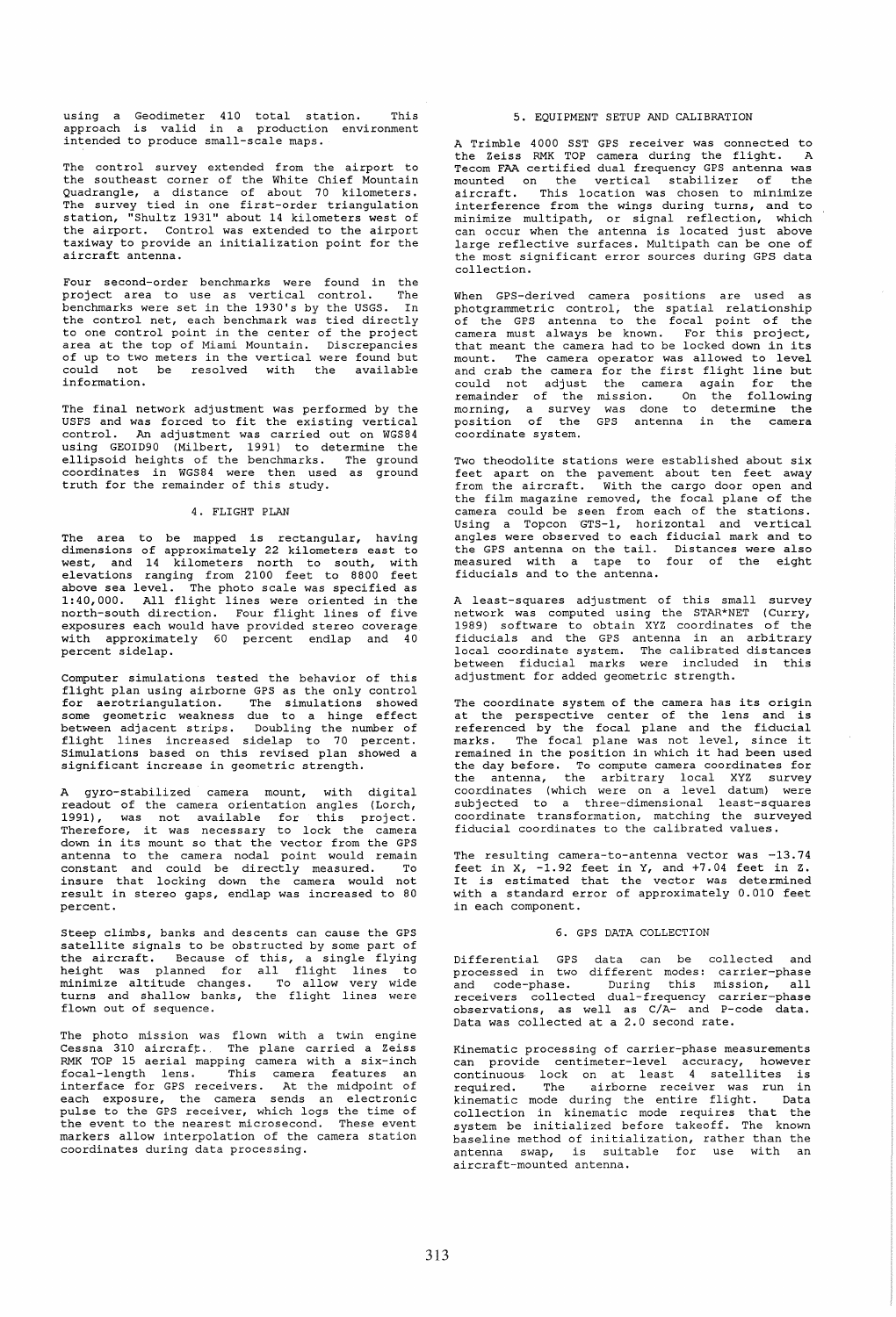using a Geodimeter 410 total station. This approach is valid in a production environment intended to produce small-scale maps.

The control survey extended from the airport to the southeast corner of the White Chief Mountain Quadrangle, a distance of about 70 kilometers. The survey tied in one first-order triangulation station, "Shultz 1931" about 14 kilometers west of the airport. Control was extended to the airport taxiway to provide an initialization point for the aircraft antenna.

Four second-order benchmarks were found in the<br>project area to use as vertical control. The project area to use as vertical control. .<br>benchmarks were set in the 1930's by the USGS. In the control net, each benchmark was tied directly to one contro1 point in the center of the project area at the top of Miami Mountain. Discrepancies of up to two meters in the vertical were found but could not be resolved with the available or the could not be resolved with the available<br>information.

The final network adjustment was performed by the USFS and was forced to fit the existing vertical An adjustment was carried out on WGS84 using GEOID90 (Milbert, 1991) to determine the ellipsoid heights of the benchmarks. The ground coordinates in WGS84 were then used as ground truth for the remainder of this study.

## 4. FLIGHT PLAN

The area to be mapped is rectangular, having dimensions of approximately 22 kilometers east to west, and 14 kilometers north to south, with elevations ranging from 2100 feet to 8800 feet above sea level. The photo scale was specified as 1: 40, 000. All flight lines were oriented inthe north-south direction. Four flight lines of five exposures each would have provided stereo coverage with approximately 60 percent endlap and 40 percent sidelap.

Computer simulations tested the behavior of this flight plan using airborne GPS as the only control for aerotriangulation. The simulations showed some geometric weakness due to a hinge effect between adjacent strips. Doubling the number of flight lines increased sidelap to 70 percent. Simulations based on this revised plan showed a significant increase in geometric strength.

A gyro-stabilized camera mount, with digital readout of the camera orientation angles (Lorch, 1991), was not available for this project. Therefore, it was necessary to lock the camera down in its mount so that the vector from the GPS antenna to the camera nodal point would remain constant and could be directly measured. To insure that locking down the camera would not result in stereo gaps, endlap was increased to 80 percent.

Steep climbs, banks and des cents can cause the GPS satellite signals to be obstructed by some part of the aircraft. Because of this, a single flying height was planned for all flight lines to minimize altitude changes. To allow very wide turns and shallow banks, the flight lines were flown out of sequence.

The photo mission was flown with a twin engine Cessna 310 aircraft;. The plane carried a Zeiss RMK TOP 15 aerial mapping camera with a six-inch focal-Iength lens. This camera features an interface for GPS receivers. At the midpoint of each exposure, the camera sends an electronic pulse to the GPS receiver, which logs the time of the event to the nearest microsecond. These event markers allow interpolation of the camera station coordinates during data processing.

## 5. EQUIPMENT SETUP AND CALIBRATION

A Trimble 4000 SST GPS receiver was connected to the Zeiss RMK TOP camera during the flight. A Tecom FAA certified dual frequency GPS antenna was<br>mounted on the vertical stabilizer of the mounted on the vertical stabilizer of aircraft. This location was chosen to minimize interference from the wings during turns, and to minimize multipath, or signal reflection, which can occur when the antenna is located just above large reflective surfaces. Multipath can be one of the most significant error sources during GPS data collection.

When GPS-derived camera positions are used as<br>photgrammetric control, the spatial relationship<br>of the GPS antenna to the focal point of the<br>camera must always be known. For this project,<br>that meant the camera had to be loc mount. The camera operator was allowed to level and crab the camera for the first flight line but could not adjust the camera again for the remainder of the mission. On the following morning, a survey was done to determine the position of the GPS antenna in the camera .<br>coordinate system.

Two theodolite stations were established about six feet apart on the pavement about ten feet away from the aircraft. With the cargo door open and the film magazine removed, the focal plane of the camera could be seen from each of the stations. Using a Topcon GTS-1, horizontal and vertical angles were observed to each fiducial mark and to the GPS antenna on the tail. Distances were also measured with a tape to four of the eight fiducials and to the antenna.

A least-squares adjustment of this small survey network was computed using the STAR\*NET (Curry, 1989) software to obtain XYZ coordinates of the fiducials and the GPS antenna in an arbitrary local coordinate system. The calibrated distances between fiducial marks were in adjustment for added geometric strength.

The coordinate system of the camera has its origin at the perspective center of the lens and is referenced by the focal plane and the fiducial referenced by the focal plane and the fiducial<br>marks. The focal plane was not level, since it<br>remained in the position in which it had been used the day before. To compute camera coordinates for<br>the antenna, the arbitrary local XYZ survey coordinates (which were on a level datum) were subjected to a three-dimensional least-squares coordinate transformation, matching the surveyed fiducial coordinates to the calibrated values.

The resulting camera-to-antenna vector was -13.74 feet in X, -1.92 feet in Y, and +7.04 feet in Z. It is estimated that the vector was determined with a standard error of approximately 0.010 feet in each component.

#### 6. GPS DATA COLLECTION

Differential GPS data can be collected and<br>processed in two different modes: carrier-phase<br>and code-phase. During this mission, all<br>receivers collected dual-frequency carrier-phase<br>observations, as well as  $C/A$ - and P-code

Kinematic processing of carrier-phase measurements can provide centimeter-Ievel accuracy, however continuous lock on at least 4 satellites is required. The airborne receiver was run in kinematic mode during the entire flight. Data collection in kinematic mode requires that the system be initialized before takeoff. The known baseline method of initialization, rather than the antenna swap, is suitable for use with an aircraft-mounted antenna.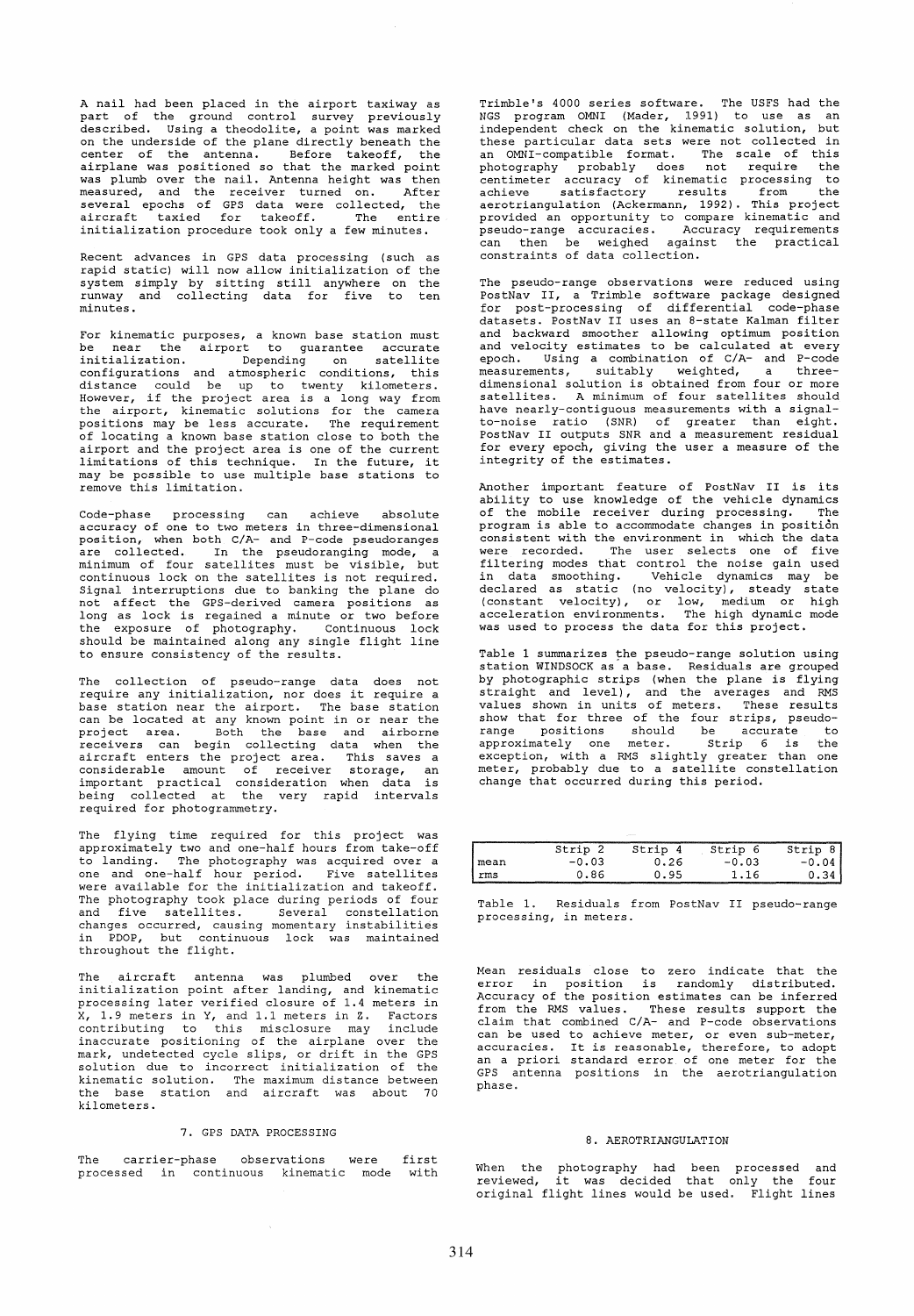A nail had been placed in the airport taxiway as part of the ground control survey previously described. Using a theodolite, a point was marked on the underside of the plane directly beneath the center of the antenna. Before takeoff, the airplane was positioned so that the marked point was plumb over the nail. Antenna height was then measured, and the receiver turned on. After<br>several epochs of GPS data were collected, the<br>aircraft taxied for takeoff. The entire initialization procedure took only a few minutes.

Recent advances in GPS data processing (such as rapid static) will now allow initialization of the system simply by sitting still anywhere on the runway and collecting data for five to ten minutes.

For kinematic purposes, a known base station must be near the airport to guarantee accurate initialization. Depending on satellite configurations and atmospheric conditions, this distance could be up to twenty kilometers. However, if the project area is a long way from the airport, kinematic solutions for the camera positions may be less accurate. The requirement of locating a known base station close to both the airport and the project area is one of the current limitations of this technique. In the future, it may be possible to use multiple base stations to remove this limitation.

Code-phase processing can achieve absolute accuracy of one to two meters in three-dimensional position, when both C/A- and P-code pseudoranges .<br>are collected. In the pseudoranging mode, a<br>minimum of four satellites must be visible, but continuous lock on the satellites is not required. Signal interruptions due to banking the plane do not affect the GPS-derived camera positions as not assess the crocertical cancer possessions as the exposure of photography. Continuous lock should be maintained along any single flight line to ensure consistency of the results.

The collection of pseudo-range data does not rne collection or pseudo-range data does not<br>require any initialization, nor does it require a<br>base station near the airport. The base station can be located at any known point in or near the project area. Both the base and airborne receivers can begin collecting data when the aircraft enters the project area. This saves a<br>considerable amount of receiver storage, an<br>important practical consideration when data is being collected at the very rapid intervals required for photogrammetry.

The flying time required for this project was approximately two and one-half hours from take-off to landing. The photography was acquired over a one and one-half hour period. Five satellites were available for the initialization and takeoff. The photography took place during periods of four<br>and five satellites. Several constellation changes occurred, causing momentary instabilities in PDOP, but continuous lock was maintained throughout the flight.

aircraft antenna was plumbed over the initialization point after landing, and kinematic processing later verified closure of 1.4 meters in X, 1.9 meters in Y, and 1.1 meters in Z. Factors contributing to this misclosure may include inaccurate positioning of the airplane over the mark, undetected cycle slips, or drift in the GPS solution due to incorrect initialization of the kinematic solution. The maximum distance between the base station and aircraft was about 70 kilometers.

#### 7. GPS DATA PROCESSING

The carrier-phase observations were processed in continuous kinematic mode with first

Trimble's 4000 series software. The USFS had the NGS program OMNI (Mader, 1991) to use as an independent check on the kinematic solution, but these particular data sets were not collected in an OMNI-compatible format. The scale of this photography probably does not require the centimeter accuracy of kinematic processing to achieve satisfactory results from the achieve satisfactory results from the<br>aerotriangulation (Ackermann, 1992). This project provided an opportunity to compare kinematic and<br>pseudo-range accuracies. Accuracy requirements<br>can then be weighed against the practical constraints of data collection.

The pseudo-range observations were reduced using PostNav II, a Trimble software package designed for post-processing of differential code-phase datasets. PostNav II uses an 8-state KaIman filter and backward smoother allowing optimum position<br>and velocity estimates to be calculated at every<br>epoch. Using a combination of C/A- and P-code<br>measurements, suitably weighted, a threeexaments, suitably weighted, a three-<br>dimensional solution is obtained from four or more satellites. A minimum of four satellites should have nearly-contiguous measurements with a signalto-noise ratio (SNR) of greater than eight. PostNav II outputs SNR and a measurement residual for every epoch, giving the user a measure of the integrity of the estimates.

Another important feature of PostNav II is its abili ty to use knowledge of the vehicle dynamics of the mobile receiver during processing. The program is able to accommodate changes in position consistent with the environment in which the data were recorded. The user selects one of five<br>filtering modes that control the noise gain used in data smoothing. Vehicle dynamics may be declared as static (no velocity), steady state (constant velocity), or low, medium or high acceleration environments. The high dynamic mode was used to process the data for this project.

Table 1 summarizes the pseudo-range solution using station WINDSOCK as a base. Residuals are grouped by photographic strips (when the plane is flying straight and level), and the averages and RMS values shown in units of meters. These results show that for three of the four strips, pseudorange positions should be accurate to approximately one meter. Strip 6 is the exception, with a RMS slightly greater than one meter, probably due to a satellite constellation change that occurred during this period.

|      | Strip <sub>2</sub> | Strip 4 | Strip 6 | Strip 8 |
|------|--------------------|---------|---------|---------|
| mean | $-0.03$            | 0.26    | $-0.03$ | $-0.04$ |
| ∣rms | ០.ឧ៩               | 0.95    | 1.16    | ก จ4    |

Table 1. Residuals from PostNav II pseudo-range processing, in meters.

Mean residuals close to zero indicate that the error in position is randomly distributed. Accuracy of the position estimates can be inferred from the RMS values. These results support the claim that combined C/A- and P-code observations can be used to achieve meter, or even sub-meter, accuracies. It is reasonable, therefore, to adopt an apriori standard error of one meter for the GPS antenna positions in the aerotriangulation phase.

## 8. AEROTRIANGULATION

When the photography had been processed and reviewed, it was decided that only the four original flight lines would be used. Flight lines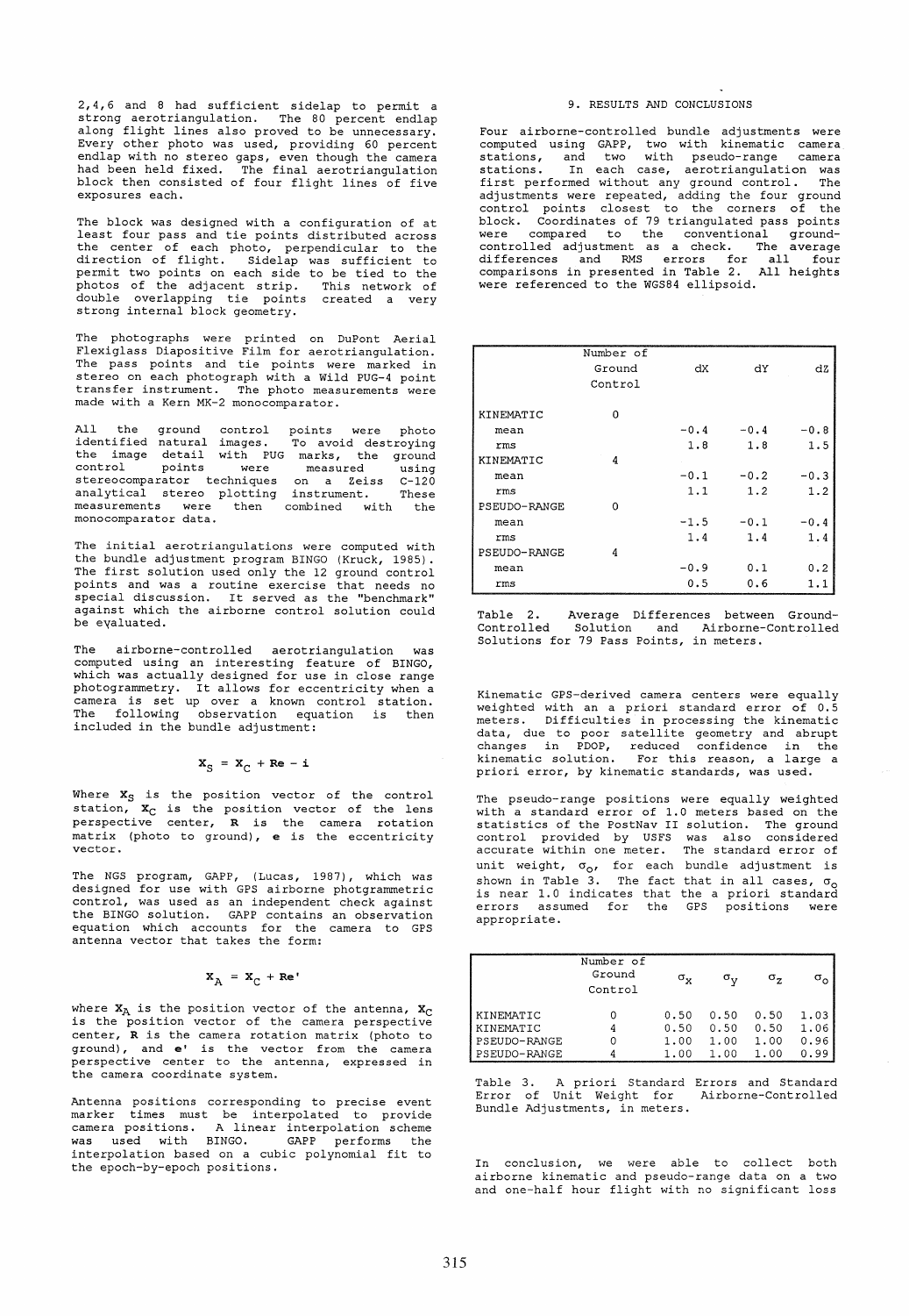2,4,6 and 8 had sufficient sidelap to permit a strong aerotriangulation. The 80 percent endlap along flight lines also proved to be unnecessary. Every other photo was used, providing 60 percent endlap with no stereo gaps, even though the camera had been held fixed. The final aerotriangulation block then consisted of four flight lines of five exposures each.

The block was designed with a configuration of at least four pass and tie points distributed across the center of each photo, perpendicular to the<br>direction of flight. Sidelap was sufficient to<br>permit two points on each side to be tied to the<br>photos of the adjacent strip. This network of<br>double overlapping tie points cre

The photographs were printed on DuPont Aerial Flexiglass Diapositive Film for aerotriangulation. The pass points and tie points were marked in stereo on each photograph with a Wild PUG-4 point transfer instrument. The photo measurements were made with a Kern MK-2 monocomparator.

All the ground control identified natural images. the image detail with PUG control points were stereocomparator techniques analytical stereo plotting measurements were then monocomparator data. points were photo To avoid destroying marks, the ground measured using on a Zeiss C-120 instrument. These combined with the

The initial aerotriangulations were computed with the bundle adjustment program BINGO (Kruck, 1985). The first solution used only the 12 ground control points and was a routine exercise that needs no special discussion. It served as the "benchmark" against which the airborne control solution could be eyaluated.

airborne-controlled aerotriangulation was computed using an interesting feature of BINGO, which was actually designed for use in close range photogrammetry. It allows for eccentricity when a camera is set up over a known control station. The following observation equation is then included in the bundle adjustment:

# $X_S = X_C + Re - i$

Where  $\mathbf{x}_S$  is the position vector of the control station,  $\mathbf{x}_C$  is the position vector of the lens perspective center, R is the camera rotation matrix (photo to ground), e is the eccentricity vector.

The NGS program, GAPP, (Lucas, 1987), which was designed for use with GPS airborne photgrammetric control, was used as an independent check against the BINGO solution. GAPP contains an observation equation which accounts for the camera to GPS antenna vector that takes the form:

# $X_A = X_C + Re'$

where  $x_A$  is the position vector of the antenna,  $x_C$ is the position vector of the camera perspective center, R is the camera rotation matrix (photo to ground), and e' is the vector from the camera perspective center to the antenna, expressed in the camera coordinate system.

Antenna positions corresponding to precise event marker times must be interpolated to provide camera positions. A linear interpolation scheme was used with BINGO. GAPP performs the interpolation based on a cubic polynomial fit to the epoch-by-epoch positions.

#### 9. RESULTS AND CONCLUSIONS

Four airborne-controlled bundle adjustments were computed using GAPP, two with kinematic camera stations, and two with pseudo-range camera stations. In each case, aerotriangulation was first performed without any ground control. The adjustments were repeated, adding the four ground control points closest to the corners of the block. Coordinates of 79 triangulated pass points were compared to the conventional ground-controlled adjustment as acheck. The average differences and RMS errors for all four comparisons in presented in Table 2. All heights were referenced to the WGS84 ellipsoid.

|              | Number of |        |        |        |
|--------------|-----------|--------|--------|--------|
|              | Ground    | dX     | dY     | dZ     |
|              | Control   |        |        |        |
| KINEMATIC    | $\Omega$  |        |        |        |
| mean         |           | $-0.4$ | $-0.4$ | $-0.8$ |
| rms          |           | 1.8    | 1.8    | 1.5    |
| KINEMATIC    | 4         |        |        |        |
| mean         |           | $-0.1$ | $-0.2$ | $-0.3$ |
| rms          |           | 1.1    | 1.2    | 1.2    |
| PSEUDO-RANGE | $\Omega$  |        |        |        |
| mean         |           | $-1.5$ | $-0.1$ | $-0.4$ |
| rms          |           | 1.4    | 1.4    | 1.4    |
| PSEUDO-RANGE | 4         |        |        |        |
| mean         |           | $-0.9$ | 0.1    | 0.2    |
| rms          |           | 0.5    | 0.6    | 1.1    |

Table 2. Average Differences between Ground-Controlled Solution and Airborne-Controlled Solutions for 79 Pass Points, in meters.

Kinematic GPS-derived camera centers were equally<br>weighted with an a priori standard error of 0.5 meters. Difficulties in processing the kinematic data, due to poor satellite geometry and abrupt changes in PDOP, reduced confidence in the kinematic solution. For this reason, a large a priori error, by kinematic standards, was used.

The pseudo-range positions were equally weighted with a standard error of 1.0 meters based on the statistics of the PostNav II solution. The ground control provided by USFS was also considered accurate within one meter. The standard error of unit weight,  $\sigma_{0}$ , for each bundle adjustment is shown in Table 3. The fact that in all cases,  $\sigma_0$  is near 1.0 indicates that the a priori standard errors assumed for the GPS positions were appropriate.

|              | Number of<br>Ground<br>Control | $\sigma_{\rm x}$ | σ.,  | σ.,  |      |
|--------------|--------------------------------|------------------|------|------|------|
| KINEMATIC    |                                | 0.50             | 0.50 | 0.50 | 1.03 |
| KINEMATIC    |                                | 0.50             | 0.50 | 0.50 | 1.06 |
| PSEUDO-RANGE |                                | 1.00             | 1.00 | 1.00 | 0.96 |
| PSEUDO-RANGE |                                | 1.00             | 1.00 | 1.00 | 0.99 |

Table 3. Apriori Standard Error of Unit Weight for Bundle Adjustments, in meters. Errors and Standard Airborne-Controlled

In conclusion, we were able to collect both airborne kinematic and pseudo-range data on a two and one-half hour flight with no significant loss